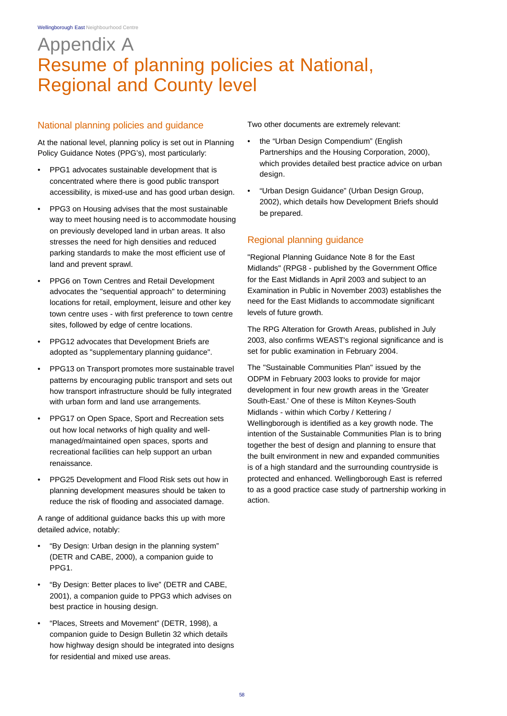# Appendix A Resume of planning policies at National, Regional and County level

### National planning policies and guidance

At the national level, planning policy is set out in Planning Policy Guidance Notes (PPG's), most particularly:

- PPG1 advocates sustainable development that is concentrated where there is good public transport accessibility, is mixed-use and has good urban design.
- PPG3 on Housing advises that the most sustainable way to meet housing need is to accommodate housing on previously developed land in urban areas. It also stresses the need for high densities and reduced parking standards to make the most efficient use of land and prevent sprawl.
- PPG6 on Town Centres and Retail Development advocates the "sequential approach" to determining locations for retail, employment, leisure and other key town centre uses - with first preference to town centre sites, followed by edge of centre locations.
- PPG12 advocates that Development Briefs are adopted as "supplementary planning guidance".
- PPG13 on Transport promotes more sustainable travel patterns by encouraging public transport and sets out how transport infrastructure should be fully integrated with urban form and land use arrangements.
- PPG17 on Open Space, Sport and Recreation sets out how local networks of high quality and wellmanaged/maintained open spaces, sports and recreational facilities can help support an urban renaissance.
- PPG25 Development and Flood Risk sets out how in planning development measures should be taken to reduce the risk of flooding and associated damage.

A range of additional guidance backs this up with more detailed advice, notably:

- "By Design: Urban design in the planning system" (DETR and CABE, 2000), a companion guide to PPG1.
- "By Design: Better places to live" (DETR and CABE, 2001), a companion guide to PPG3 which advises on best practice in housing design.
- "Places, Streets and Movement" (DETR, 1998), a companion guide to Design Bulletin 32 which details how highway design should be integrated into designs for residential and mixed use areas.

Two other documents are extremely relevant:

- the "Urban Design Compendium" (English Partnerships and the Housing Corporation, 2000), which provides detailed best practice advice on urban design.
- "Urban Design Guidance" (Urban Design Group, 2002), which details how Development Briefs should be prepared.

## Regional planning guidance

"Regional Planning Guidance Note 8 for the East Midlands" (RPG8 - published by the Government Office for the East Midlands in April 2003 and subject to an Examination in Public in November 2003) establishes the need for the East Midlands to accommodate significant levels of future growth.

The RPG Alteration for Growth Areas, published in July 2003, also confirms WEAST's regional significance and is set for public examination in February 2004.

The "Sustainable Communities Plan" issued by the ODPM in February 2003 looks to provide for major development in four new growth areas in the 'Greater South-East.' One of these is Milton Keynes-South Midlands - within which Corby / Kettering / Wellingborough is identified as a key growth node. The intention of the Sustainable Communities Plan is to bring together the best of design and planning to ensure that the built environment in new and expanded communities is of a high standard and the surrounding countryside is protected and enhanced. Wellingborough East is referred to as a good practice case study of partnership working in action.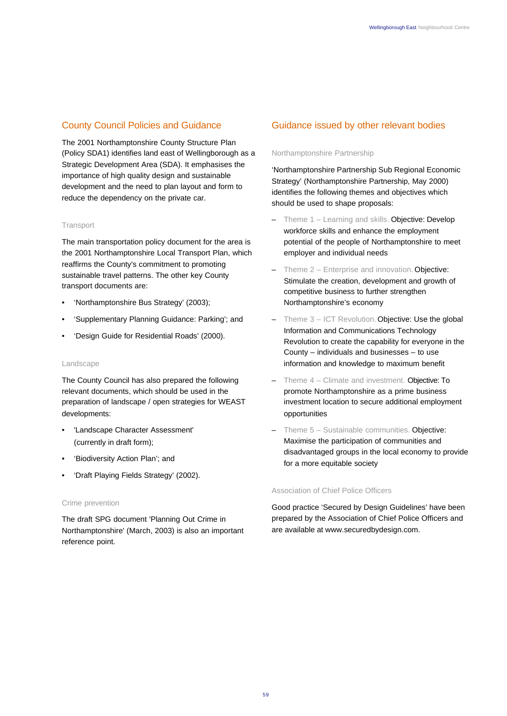# County Council Policies and Guidance

The 2001 Northamptonshire County Structure Plan (Policy SDA1) identifies land east of Wellingborough as a Strategic Development Area (SDA). It emphasises the importance of high quality design and sustainable development and the need to plan layout and form to reduce the dependency on the private car.

#### **Transport**

The main transportation policy document for the area is the 2001 Northamptonshire Local Transport Plan, which reaffirms the County's commitment to promoting sustainable travel patterns. The other key County transport documents are:

- 'Northamptonshire Bus Strategy' (2003);
- 'Supplementary Planning Guidance: Parking'; and
- 'Design Guide for Residential Roads' (2000).

#### Landscape

The County Council has also prepared the following relevant documents, which should be used in the preparation of landscape / open strategies for WEAST developments:

- 'Landscape Character Assessment' (currently in draft form);
- 'Biodiversity Action Plan'; and
- 'Draft Playing Fields Strategy' (2002).

#### Crime prevention

The draft SPG document 'Planning Out Crime in Northamptonshire' (March, 2003) is also an important reference point.

### Guidance issued by other relevant bodies

#### Northamptonshire Partnership

'Northamptonshire Partnership Sub Regional Economic Strategy' (Northamptonshire Partnership, May 2000) identifies the following themes and objectives which should be used to shape proposals:

- Theme 1 Learning and skills. Objective: Develop workforce skills and enhance the employment potential of the people of Northamptonshire to meet employer and individual needs
- Theme 2 Enterprise and innovation. Objective: Stimulate the creation, development and growth of competitive business to further strengthen Northamptonshire's economy
- Theme 3 ICT Revolution. Objective: Use the global Information and Communications Technology Revolution to create the capability for everyone in the County – individuals and businesses – to use information and knowledge to maximum benefit
- Theme  $4$  Climate and investment. Objective: To promote Northamptonshire as a prime business investment location to secure additional employment opportunities
- Theme 5 Sustainable communities. Objective: Maximise the participation of communities and disadvantaged groups in the local economy to provide for a more equitable society

#### Association of Chief Police Officers

Good practice 'Secured by Design Guidelines' have been prepared by the Association of Chief Police Officers and are available at www.securedbydesign.com.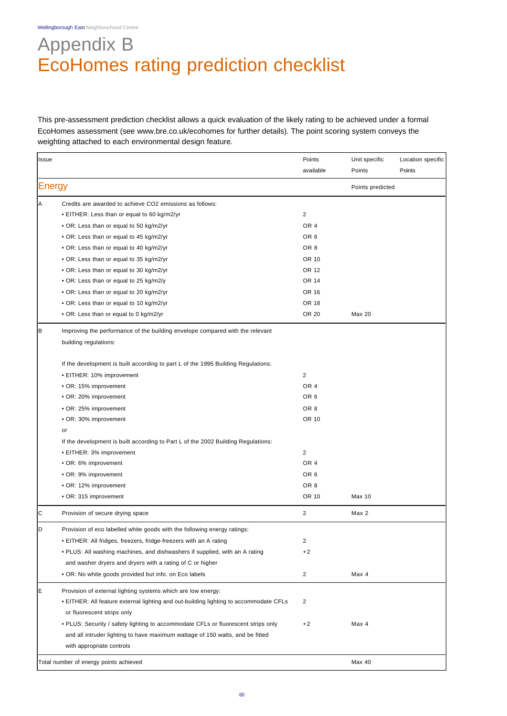Wellingborough East Neighbourhood Centre

# Appendix B EcoHomes rating prediction checklist

This pre-assessment prediction checklist allows a quick evaluation of the likely rating to be achieved under a formal EcoHomes assessment (see www.bre.co.uk/ecohomes for further details). The point scoring system conveys the weighting attached to each environmental design feature.

| <b>Issue</b>  |                                                                                       | Points          | Unit specific    | Location specific |
|---------------|---------------------------------------------------------------------------------------|-----------------|------------------|-------------------|
|               |                                                                                       | available       | Points           | Points            |
| <b>Energy</b> |                                                                                       |                 | Points predicted |                   |
| Α             | Credits are awarded to achieve CO2 emissions as follows:                              |                 |                  |                   |
|               | • EITHER: Less than or equal to 60 kg/m2/yr                                           | 2               |                  |                   |
|               | • OR: Less than or equal to 50 kg/m2/yr                                               | OR <sub>4</sub> |                  |                   |
|               | • OR: Less than or equal to 45 kg/m2/yr                                               | OR <sub>6</sub> |                  |                   |
|               | • OR: Less than or equal to 40 kg/m2/yr                                               | OR <sub>8</sub> |                  |                   |
|               | . OR: Less than or equal to 35 kg/m2/yr                                               | OR 10           |                  |                   |
|               | • OR: Less than or equal to 30 kg/m2/yr                                               | OR 12           |                  |                   |
|               | • OR: Less than or equal to 25 kg/m2/y                                                | OR 14           |                  |                   |
|               | • OR: Less than or equal to 20 kg/m2/yr                                               | OR 16           |                  |                   |
|               | . OR: Less than or equal to 10 kg/m2/yr                                               | OR 18           |                  |                   |
|               | • OR: Less than or equal to 0 kg/m2/yr                                                | OR 20           | Max 20           |                   |
| B             | Improving the performance of the building envelope compared with the relevant         |                 |                  |                   |
|               | building regulations:                                                                 |                 |                  |                   |
|               | If the development is built according to part L of the 1995 Building Regulations:     |                 |                  |                   |
|               | • EITHER: 10% improvement                                                             | 2               |                  |                   |
|               | • OR: 15% improvement                                                                 | OR <sub>4</sub> |                  |                   |
|               | • OR: 20% improvement                                                                 | OR <sub>6</sub> |                  |                   |
|               | • OR: 25% improvement                                                                 | OR <sub>8</sub> |                  |                   |
|               | • OR: 30% improvement                                                                 | OR 10           |                  |                   |
|               | or                                                                                    |                 |                  |                   |
|               | If the development is built according to Part L of the 2002 Building Regulations:     |                 |                  |                   |
|               | • EITHER: 3% improvement                                                              | $\overline{2}$  |                  |                   |
|               | • OR: 6% improvement                                                                  | OR <sub>4</sub> |                  |                   |
|               | • OR: 9% improvement                                                                  | OR <sub>6</sub> |                  |                   |
|               | • OR: 12% improvement                                                                 | OR <sub>8</sub> |                  |                   |
|               | • OR: 315 improvement                                                                 | OR 10           | Max 10           |                   |
| C             | Provision of secure drying space                                                      | 2               | Max 2            |                   |
| D             | Provision of eco labelled white goods with the following energy ratings:              |                 |                  |                   |
|               | • EITHER: All fridges, freezers, fridge-freezers with an A rating                     | $\overline{2}$  |                  |                   |
|               | • PLUS: All washing machines, and dishwashers if supplied, with an A rating           | $+2$            |                  |                   |
|               | and washer dryers and dryers with a rating of C or higher                             |                 |                  |                   |
|               | • OR: No white goods provided but info. on Eco labels                                 | $\overline{2}$  | Max 4            |                   |
| E             | Provision of external lighting systems which are low energy:                          |                 |                  |                   |
|               | • EITHER: All feature external lighting and out-building lighting to accommodate CFLs | $\overline{2}$  |                  |                   |
|               | or fluorescent strips only                                                            |                 |                  |                   |
|               | • PLUS: Security / safety lighting to accommodate CFLs or fluorescent strips only     | $+2$            | Max 4            |                   |
|               | and all intruder lighting to have maximum wattage of 150 watts, and be fitted         |                 |                  |                   |
|               | with appropriate controls                                                             |                 |                  |                   |
|               | Total number of energy points achieved                                                |                 | Max 40           |                   |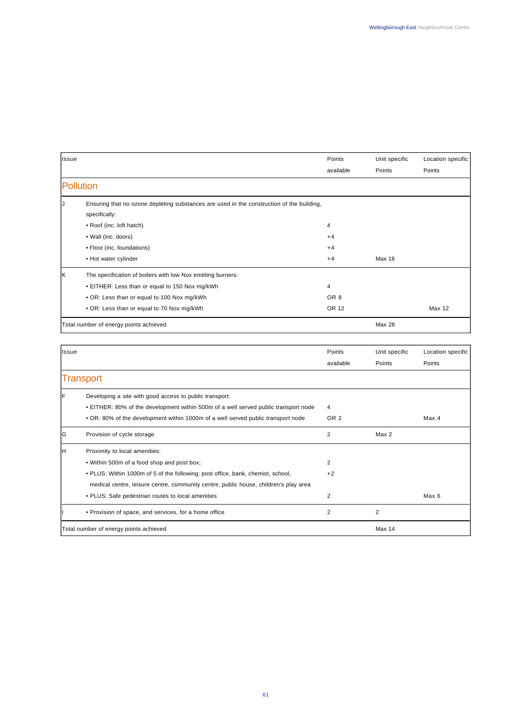| Issue            |                                                                                           | Points          | Unit specific | Location specific |
|------------------|-------------------------------------------------------------------------------------------|-----------------|---------------|-------------------|
|                  |                                                                                           | available       | Points        | Points            |
| <b>Pollution</b> |                                                                                           |                 |               |                   |
| IJ               | Ensuring that no ozone depleting substances are used in the construction of the building, |                 |               |                   |
|                  | specifically:                                                                             |                 |               |                   |
|                  | • Roof (inc. loft hatch)                                                                  | 4               |               |                   |
|                  | • Wall (inc. doors)                                                                       | $+4$            |               |                   |
|                  | • Floor (inc. foundations)                                                                | $+4$            |               |                   |
|                  | • Hot water cylinder                                                                      | $+4$            | Max 16        |                   |
| lκ               | The specification of boilers with low Nox emitting burners:                               |                 |               |                   |
|                  | • EITHER: Less than or equal to 150 Nox mg/kWh                                            | 4               |               |                   |
|                  | • OR: Less than or equal to 100 Nox mg/kWh                                                | OR <sub>8</sub> |               |                   |
|                  | . OR: Less than or equal to 70 Nox mg/kWh                                                 | OR 12           |               | Max 12            |
|                  | Total number of energy points achieved                                                    |                 | <b>Max 28</b> |                   |

| Issue            |                                                                                      | Points          | Unit specific    | Location specific |
|------------------|--------------------------------------------------------------------------------------|-----------------|------------------|-------------------|
|                  |                                                                                      | available       | Points           | Points            |
| <b>Transport</b> |                                                                                      |                 |                  |                   |
| F                | Developing a site with good access to public transport:                              |                 |                  |                   |
|                  | • EITHER: 80% of the development within 500m of a well served public transport node  | 4               |                  |                   |
|                  | . OR: 80% of the development within 1000m of a well served public transport node     | OR <sub>2</sub> |                  | Max 4             |
| lG.              | Provision of cycle storage                                                           | 2               | Max <sub>2</sub> |                   |
| ін               | Proximity to local amenities:                                                        |                 |                  |                   |
|                  | . Within 500m of a food shop and post box;                                           | $\overline{2}$  |                  |                   |
|                  | . PLUS: Within 1000m of 5 of the following: post office, bank, chemist, school,      | $+2$            |                  |                   |
|                  | medical centre, leisure centre, community centre, public house, children's play area |                 |                  |                   |
|                  | • PLUS: Safe pedestrian routes to local amenities                                    | 2               |                  | Max 6             |
|                  | • Provision of space, and services, for a home office                                | 2               | 2                |                   |
|                  | Total number of energy points achieved                                               |                 | <b>Max 14</b>    |                   |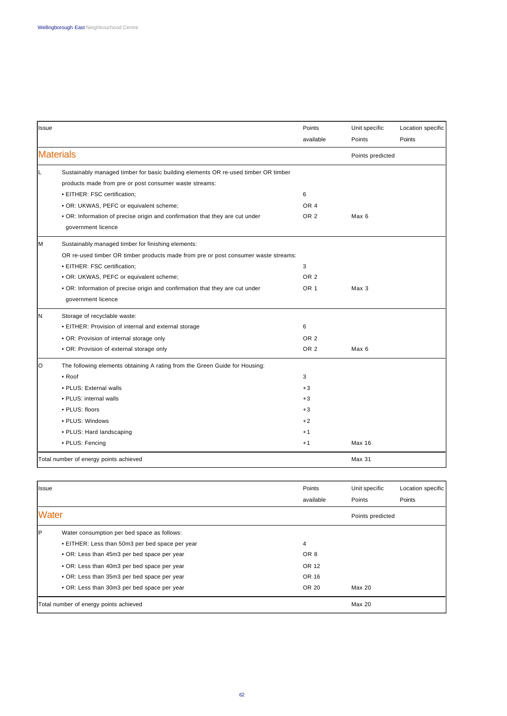| Issue |                                                                                    | Points          | Unit specific    | Location specific |
|-------|------------------------------------------------------------------------------------|-----------------|------------------|-------------------|
|       |                                                                                    | available       | Points           | Points            |
|       | <b>Materials</b>                                                                   |                 | Points predicted |                   |
|       | Sustainably managed timber for basic building elements OR re-used timber OR timber |                 |                  |                   |
|       | products made from pre or post consumer waste streams:                             |                 |                  |                   |
|       | • EITHER: FSC certification;                                                       | 6               |                  |                   |
|       | • OR: UKWAS, PEFC or equivalent scheme;                                            | OR <sub>4</sub> |                  |                   |
|       | • OR: Information of precise origin and confirmation that they are cut under       | OR <sub>2</sub> | Max 6            |                   |
|       | government licence                                                                 |                 |                  |                   |
| M     | Sustainably managed timber for finishing elements:                                 |                 |                  |                   |
|       | OR re-used timber OR timber products made from pre or post consumer waste streams: |                 |                  |                   |
|       | · EITHER: FSC certification;                                                       | 3               |                  |                   |
|       | • OR: UKWAS, PEFC or equivalent scheme;                                            | OR <sub>2</sub> |                  |                   |
|       | • OR: Information of precise origin and confirmation that they are cut under       | OR <sub>1</sub> | Max 3            |                   |
|       | government licence                                                                 |                 |                  |                   |
| N     | Storage of recyclable waste:                                                       |                 |                  |                   |
|       | • EITHER: Provision of internal and external storage                               | 6               |                  |                   |
|       | • OR: Provision of internal storage only                                           | OR <sub>2</sub> |                  |                   |
|       | • OR: Provision of external storage only                                           | OR <sub>2</sub> | Max 6            |                   |
| O     | The following elements obtaining A rating from the Green Guide for Housing:        |                 |                  |                   |
|       | $\bullet$ Roof                                                                     | 3               |                  |                   |
|       | • PLUS: External walls                                                             | $+3$            |                  |                   |
|       | • PLUS: internal walls                                                             | $+3$            |                  |                   |
|       | • PLUS: floors                                                                     | $+3$            |                  |                   |
|       | • PLUS: Windows                                                                    | $+2$            |                  |                   |
|       | • PLUS: Hard landscaping                                                           | $+1$            |                  |                   |
|       | • PLUS: Fencing                                                                    | $+1$            | Max 16           |                   |
|       | Total number of energy points achieved                                             |                 | Max 31           |                   |

| <b>Issue</b>                           |                                                 | Points<br>available | Unit specific<br>Points | Location specific<br>Points |
|----------------------------------------|-------------------------------------------------|---------------------|-------------------------|-----------------------------|
| <b>Water</b>                           |                                                 |                     | Points predicted        |                             |
| IP.                                    | Water consumption per bed space as follows:     |                     |                         |                             |
|                                        | • EITHER: Less than 50m3 per bed space per year | 4                   |                         |                             |
|                                        | • OR: Less than 45m3 per bed space per year     | OR <sub>8</sub>     |                         |                             |
|                                        | • OR: Less than 40m3 per bed space per year     | OR 12               |                         |                             |
|                                        | • OR: Less than 35m3 per bed space per year     | OR 16               |                         |                             |
|                                        | • OR: Less than 30m3 per bed space per year     | OR 20               | Max 20                  |                             |
| Total number of energy points achieved |                                                 |                     | Max 20                  |                             |